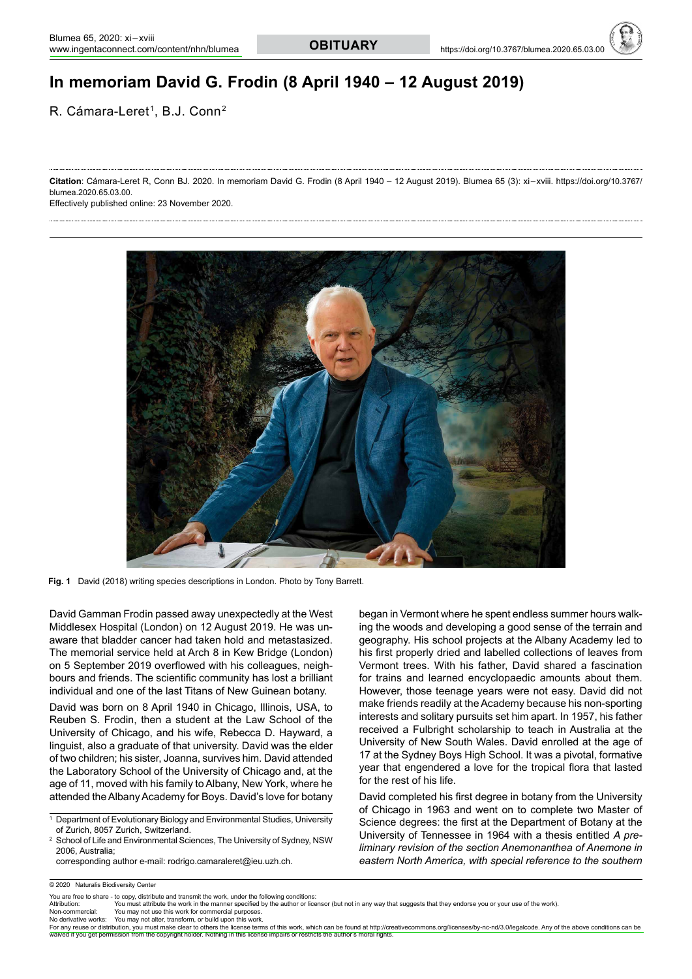# **In memoriam David G. Frodin (8 April 1940 – 12 August 2019)**

R. Cámara-Leret<sup>1</sup>, B.J. Conn<sup>2</sup>

**Citation**: Cámara-Leret R, Conn BJ. 2020. In memoriam David G. Frodin (8 April 1940 – 12 August 2019). Blumea 65 (3): xi – xviii. https://doi.org/10.3767/ blumea.2020.65.03.00.

Effectively published online: 23 November 2020.



Fig. 1 David (2018) writing species descriptions in London. Photo by Tony Barrett.

David Gamman Frodin passed away unexpectedly at the West Middlesex Hospital (London) on 12 August 2019. He was unaware that bladder cancer had taken hold and metastasized. The memorial service held at Arch 8 in Kew Bridge (London) on 5 September 2019 overflowed with his colleagues, neighbours and friends. The scientific community has lost a brilliant individual and one of the last Titans of New Guinean botany.

David was born on 8 April 1940 in Chicago, Illinois, USA, to Reuben S. Frodin, then a student at the Law School of the University of Chicago, and his wife, Rebecca D. Hayward, a linguist, also a graduate of that university. David was the elder of two children; his sister, Joanna, survives him. David attended the Laboratory School of the University of Chicago and, at the age of 11, moved with his family to Albany, New York, where he attended the Albany Academy for Boys. David's love for botany

 corresponding author e-mail: rodrigo.camaraleret@ieu.uzh.ch.

began in Vermont where he spent endless summer hours walking the woods and developing a good sense of the terrain and geography. His school projects at the Albany Academy led to his first properly dried and labelled collections of leaves from Vermont trees. With his father, David shared a fascination for trains and learned encyclopaedic amounts about them. However, those teenage years were not easy. David did not make friends readily at the Academy because his non-sporting interests and solitary pursuits set him apart. In 1957, his father received a Fulbright scholarship to teach in Australia at the University of New South Wales. David enrolled at the age of 17 at the Sydney Boys High School. It was a pivotal, formative year that engendered a love for the tropical flora that lasted for the rest of his life.

David completed his first degree in botany from the University of Chicago in 1963 and went on to complete two Master of Science degrees: the first at the Department of Botany at the University of Tennessee in 1964 with a thesis entitled *A preliminary revision of the section Anemonanthea of Anemone in eastern North America, with special reference to the southern* 

You may not use this work for commercial purposes.

No derivative works: You may not alter, transform, or build upon this work.

<sup>1</sup> Department of Evolutionary Biology and Environmental Studies, University of Zurich, 8057 Zurich, Switzerland.

<sup>2</sup> School of Life and Environmental Sciences, The University of Sydney, NSW 2006, Australia;

<sup>© 2020</sup> Naturalis Biodiversity Center

You are free to share - to copy, distribute and transmit the work, under the following conditions<br>Affribution: You must affribute the work in the manner specified by the author or lice

Attribution: You must attribute the work in the manner specified by the author or licensor (but not in any way that suggests that they endorse you or your use of the work)<br>Non-commercial: You may not use this work for comm

For any reuse or distribution, you must make clear to others the license terms of this work, which can be found at [http://creativecommons.org/licenses/by-nc-nd/3.0/legalcode.](http://creativecommons.org/licenses/by-nc-nd/3.0/legalcode.Anyoftheaboveconditionscanbe) Any of the above conditions can be<br>waived if y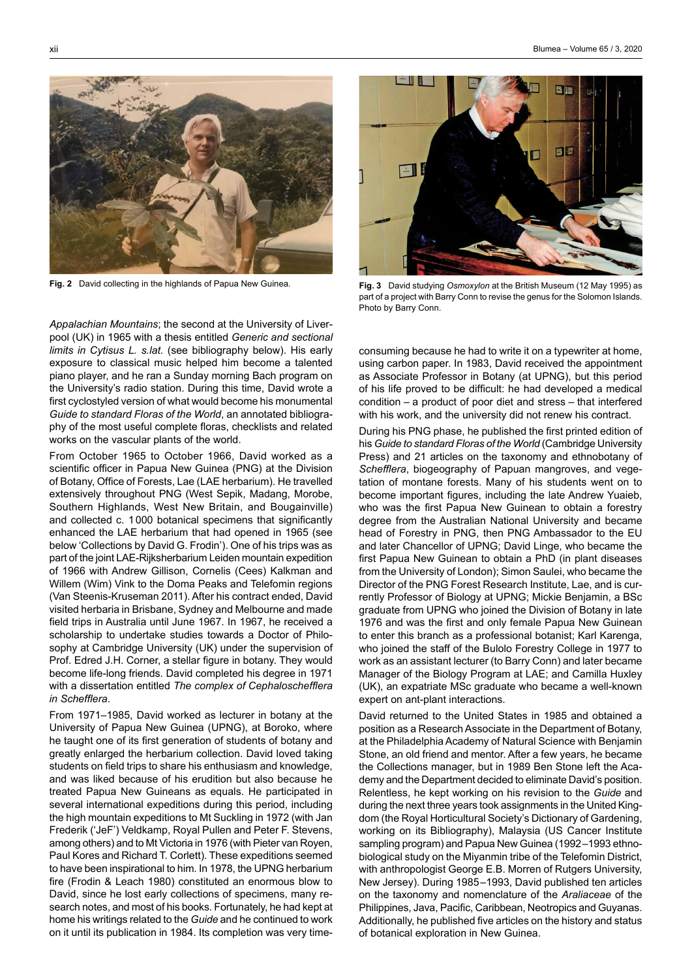

*Appalachian Mountains*; the second at the University of Liverpool (UK) in 1965 with a thesis entitled *Generic and sectional limits in Cytisus L. s.lat.* (see bibliography below). His early exposure to classical music helped him become a talented piano player, and he ran a Sunday morning Bach program on the University's radio station. During this time, David wrote a first cyclostyled version of what would become his monumental *Guide to standard Floras of the World*, an annotated bibliography of the most useful complete floras, checklists and related works on the vascular plants of the world.

From October 1965 to October 1966, David worked as a scientific officer in Papua New Guinea (PNG) at the Division of Botany, Office of Forests, Lae (LAE herbarium). He travelled extensively throughout PNG (West Sepik, Madang, Morobe, Southern Highlands, West New Britain, and Bougainville) and collected c. 1000 botanical specimens that significantly enhanced the LAE herbarium that had opened in 1965 (see below 'Collections by David G. Frodin'). One of his trips was as part of the joint LAE-Rijksherbarium Leiden mountain expedition of 1966 with Andrew Gillison, Cornelis (Cees) Kalkman and Willem (Wim) Vink to the Doma Peaks and Telefomin regions (Van Steenis-Kruseman 2011). After his contract ended, David visited herbaria in Brisbane, Sydney and Melbourne and made field trips in Australia until June 1967. In 1967, he received a scholarship to undertake studies towards a Doctor of Philosophy at Cambridge University (UK) under the supervision of Prof. Edred J.H. Corner, a stellar figure in botany. They would become life-long friends. David completed his degree in 1971 with a dissertation entitled *The complex of Cephaloschefflera in Schefflera*.

From 1971–1985, David worked as lecturer in botany at the University of Papua New Guinea (UPNG), at Boroko, where he taught one of its first generation of students of botany and greatly enlarged the herbarium collection. David loved taking students on field trips to share his enthusiasm and knowledge, and was liked because of his erudition but also because he treated Papua New Guineans as equals. He participated in several international expeditions during this period, including the high mountain expeditions to Mt Suckling in 1972 (with Jan Frederik ('JeF') Veldkamp, Royal Pullen and Peter F. Stevens, among others) and to Mt Victoria in 1976 (with Pieter van Royen, Paul Kores and Richard T. Corlett). These expeditions seemed to have been inspirational to him. In 1978, the UPNG herbarium fire (Frodin & Leach 1980) constituted an enormous blow to David, since he lost early collections of specimens, many research notes, and most of his books. Fortunately, he had kept at home his writings related to the *Guide* and he continued to work on it until its publication in 1984. Its completion was very time-



**Fig. 2**   David collecting in the highlands of Papua New Guinea. **Fig. 3**   David studying *Osmoxylon* at the British Museum (12 May 1995) as part of a project with Barry Conn to revise the genus for the Solomon Islands. Photo by Barry Conn.

consuming because he had to write it on a typewriter at home, using carbon paper. In 1983, David received the appointment as Associate Professor in Botany (at UPNG), but this period of his life proved to be difficult: he had developed a medical condition – a product of poor diet and stress – that interfered with his work, and the university did not renew his contract.

During his PNG phase, he published the first printed edition of his *Guide to standard Floras of the World* (Cambridge University Press) and 21 articles on the taxonomy and ethnobotany of *Schefflera*, biogeography of Papuan mangroves, and vegetation of montane forests. Many of his students went on to become important figures, including the late Andrew Yuaieb, who was the first Papua New Guinean to obtain a forestry degree from the Australian National University and became head of Forestry in PNG, then PNG Ambassador to the EU and later Chancellor of UPNG; David Linge, who became the first Papua New Guinean to obtain a PhD (in plant diseases from the University of London); Simon Saulei, who became the Director of the PNG Forest Research Institute, Lae, and is currently Professor of Biology at UPNG; Mickie Benjamin, a BSc graduate from UPNG who joined the Division of Botany in late 1976 and was the first and only female Papua New Guinean to enter this branch as a professional botanist; Karl Karenga, who joined the staff of the Bulolo Forestry College in 1977 to work as an assistant lecturer (to Barry Conn) and later became Manager of the Biology Program at LAE; and Camilla Huxley (UK), an expatriate MSc graduate who became a well-known expert on ant-plant interactions.

David returned to the United States in 1985 and obtained a position as a Research Associate in the Department of Botany, at the Philadelphia Academy of Natural Science with Benjamin Stone, an old friend and mentor. After a few years, he became the Collections manager, but in 1989 Ben Stone left the Academy and the Department decided to eliminate David's position. Relentless, he kept working on his revision to the *Guide* and during the next three years took assignments in the United Kingdom (the Royal Horticultural Society's Dictionary of Gardening, working on its Bibliography), Malaysia (US Cancer Institute sampling program) and Papua New Guinea (1992–1993 ethnobiological study on the Miyanmin tribe of the Telefomin District, with anthropologist George E.B. Morren of Rutgers University, New Jersey). During 1985–1993, David published ten articles on the taxonomy and nomenclature of the *Araliaceae* of the Philippines, Java, Pacific, Caribbean, Neotropics and Guyanas. Additionally, he published five articles on the history and status of botanical exploration in New Guinea.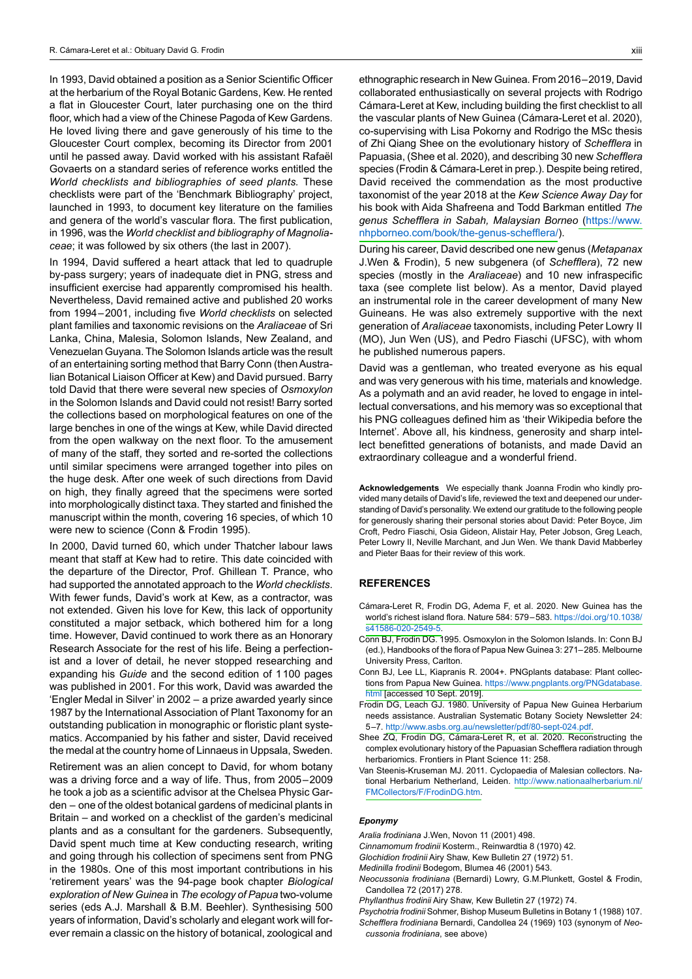In 1993, David obtained a position as a Senior Scientific Officer at the herbarium of the Royal Botanic Gardens, Kew. He rented a flat in Gloucester Court, later purchasing one on the third floor, which had a view of the Chinese Pagoda of Kew Gardens. He loved living there and gave generously of his time to the Gloucester Court complex, becoming its Director from 2001 until he passed away. David worked with his assistant Rafaël Govaerts on a standard series of reference works entitled the *World checklists and bibliographies of seed plants.* These checklists were part of the 'Benchmark Bibliography' project, launched in 1993, to document key literature on the families and genera of the world's vascular flora. The first publication, in 1996, was the *World checklist and bibliography of Magnoliaceae*; it was followed by six others (the last in 2007).

In 1994, David suffered a heart attack that led to quadruple by-pass surgery; years of inadequate diet in PNG, stress and insufficient exercise had apparently compromised his health. Nevertheless, David remained active and published 20 works from 1994–2001, including five *World checklists* on selected plant families and taxonomic revisions on the *Araliaceae* of Sri Lanka, China, Malesia, Solomon Islands, New Zealand, and Venezuelan Guyana. The Solomon Islands article was the result of an entertaining sorting method that Barry Conn (then Australian Botanical Liaison Officer at Kew) and David pursued. Barry told David that there were several new species of *Osmoxylon* in the Solomon Islands and David could not resist! Barry sorted the collections based on morphological features on one of the large benches in one of the wings at Kew, while David directed from the open walkway on the next floor. To the amusement of many of the staff, they sorted and re-sorted the collections until similar specimens were arranged together into piles on the huge desk. After one week of such directions from David on high, they finally agreed that the specimens were sorted into morphologically distinct taxa. They started and finished the manuscript within the month, covering 16 species, of which 10 were new to science (Conn & Frodin 1995).

In 2000, David turned 60, which under Thatcher labour laws meant that staff at Kew had to retire. This date coincided with the departure of the Director, Prof. Ghillean T. Prance, who had supported the annotated approach to the *World checklists*. With fewer funds, David's work at Kew, as a contractor, was not extended. Given his love for Kew, this lack of opportunity constituted a major setback, which bothered him for a long time. However, David continued to work there as an Honorary Research Associate for the rest of his life. Being a perfectionist and a lover of detail, he never stopped researching and expanding his *Guide* and the second edition of 1100 pages was published in 2001. For this work, David was awarded the 'Engler Medal in Silver' in 2002 – a prize awarded yearly since 1987 by the International Association of Plant Taxonomy for an outstanding publication in monographic or floristic plant systematics. Accompanied by his father and sister, David received the medal at the country home of Linnaeus in Uppsala, Sweden.

Retirement was an alien concept to David, for whom botany was a driving force and a way of life. Thus, from 2005–2009 he took a job as a scientific advisor at the Chelsea Physic Garden – one of the oldest botanical gardens of medicinal plants in Britain – and worked on a checklist of the garden's medicinal plants and as a consultant for the gardeners. Subsequently, David spent much time at Kew conducting research, writing and going through his collection of specimens sent from PNG in the 1980s. One of this most important contributions in his 'retirement years' was the 94-page book chapter *Biological exploration of New Guinea* in *The ecology of Papua* two-volume series (eds A.J. Marshall & B.M. Beehler). Synthesising 500 years of information, David's scholarly and elegant work will forever remain a classic on the history of botanical, zoological and

ethnographic research in New Guinea. From 2016–2019, David collaborated enthusiastically on several projects with Rodrigo Cámara-Leret at Kew, including building the first checklist to all the vascular plants of New Guinea (Cámara-Leret et al. 2020), co-supervising with Lisa Pokorny and Rodrigo the MSc thesis of Zhi Qiang Shee on the evolutionary history of *Schefflera* in Papuasia, (Shee et al. 2020), and describing 30 new *Schefflera* species (Frodin & Cámara-Leret in prep.). Despite being retired, David received the commendation as the most productive taxonomist of the year 2018 at the *Kew Science Away Day* for his book with Aida Shafreena and Todd Barkman entitled *The genus Schefflera in Sabah, Malaysian Borneo* [\(https://www.](https://www.nhpborneo.com/book/the-genus-schefflera/) [nhpborneo.com/book/the-genus-schefflera/](https://www.nhpborneo.com/book/the-genus-schefflera/)).

During his career, David described one new genus (*Metapanax*  J.Wen & Frodin), 5 new subgenera (of *Schefflera*), 72 new species (mostly in the *Araliaceae*) and 10 new infraspecific taxa (see complete list below). As a mentor, David played an instrumental role in the career development of many New Guineans. He was also extremely supportive with the next generation of *Araliaceae* taxonomists, including Peter Lowry II (MO), Jun Wen (US), and Pedro Fiaschi (UFSC), with whom he published numerous papers.

David was a gentleman, who treated everyone as his equal and was very generous with his time, materials and knowledge. As a polymath and an avid reader, he loved to engage in intellectual conversations, and his memory was so exceptional that his PNG colleagues defined him as 'their Wikipedia before the Internet'*.* Above all, his kindness, generosity and sharp intellect benefitted generations of botanists, and made David an extraordinary colleague and a wonderful friend.

**Acknowledgements** We especially thank Joanna Frodin who kindly provided many details of David's life, reviewed the text and deepened our understanding of David's personality. We extend our gratitude to the following people for generously sharing their personal stories about David: Peter Boyce, Jim Croft, Pedro Fiaschi, Osia Gideon, Alistair Hay, Peter Jobson, Greg Leach, Peter Lowry II, Neville Marchant, and Jun Wen. We thank David Mabberley and Pieter Baas for their review of this work.

# **REFERENCES**

- Cámara-Leret R, Frodin DG, Adema F, et al. 2020. New Guinea has the world's richest island flora. Nature 584: [579–583.](https://doi.org/10.1038/s41586-020-2549-5) [https://doi.org/10.1038/](https://doi.org/10.1038/s41586-020-2549-5) [s41586-020-2549-5.](https://doi.org/10.1038/s41586-020-2549-5)
- Conn BJ, Frodin DG. 1995. Osmoxylon in the Solomon Islands. In: Conn BJ (ed.), Handbooks of the flora of Papua New Guinea 3: 271–285. Melbourne University Press, Carlton.
- Conn BJ, Lee LL, Kiapranis R. 2004+. PNGplants database: Plant collections from Papua New [Guinea.](http://www.pngplants.org/PNGdatabase.html"><Ahref="https://www.pngplants.org/PNGdatabase.html">https://www.pngplants.org/PNGdatabase.<Ahref="https://www.pngplants.org/PNGdatabase.html">html) [https://www.pngplants.org/PNGdatabase.](https://www.pngplants.org/PNGdatabase.html) [html](https://www.pngplants.org/PNGdatabase.html) [\[accessed](https://www.pngplants.org/PNGdatabase.html) 10 Sept. 2019].
- Frodin DG, Leach GJ. 1980. University of Papua New Guinea Herbarium needs assistance. Australian Systematic Botany Society Newsletter 24: 5–7. [http://www.asbs.org.au/newsletter/pdf/80-sept-024.pdf.](http://www.asbs.org.au/newsletter/pdf/80-sept-024.pdf)
- Shee ZQ, Frodin DG, Cámara-Leret R, et al. 2020. Reconstructing the complex evolutionary history of the Papuasian Schefflera radiation through herbariomics. Frontiers in Plant Science 11: 258.
- Van Steenis-Kruseman MJ. 2011. Cyclopaedia of Malesian collectors. National Herbarium Netherland, Leiden. [http://www.nationaalherbarium.nl/](http://www.nationaalherbarium.nl/FMCollectors/F/FrodinDG.htm) [FMCollectors/F/FrodinDG.htm.](http://www.nationaalherbarium.nl/FMCollectors/F/FrodinDG.htm)

## *Eponymy*

*Aralia frodiniana* J.Wen, Novon 11 (2001) 498.

*Cinnamomum frodinii* Kosterm., Reinwardtia 8 (1970) 42.

*Glochidion frodinii* Airy Shaw, Kew Bulletin 27 (1972) 51.

*Medinilla frodinii* Bodegom, Blumea 46 (2001) 543.

- *Neocussonia frodiniana* (Bernardi) Lowry, G.M.Plunkett, Gostel & Frodin, Candollea 72 (2017) 278.
- *Phyllanthus frodinii* Airy Shaw, Kew Bulletin 27 (1972) 74.
- *Psychotria frodinii* Sohmer, Bishop Museum Bulletins in Botany 1 (1988) 107. *Schefflera frodiniana* Bernardi, Candollea 24 (1969) 103 (synonym of *Neocussonia frodiniana*, see above)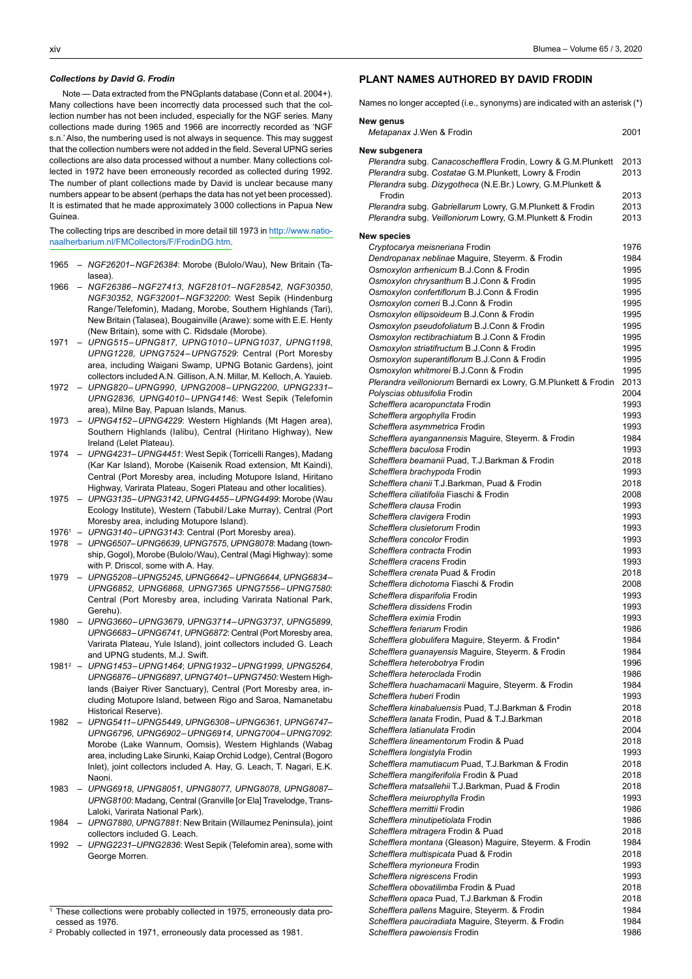## *Collections by David G. Frodin*

 Note — Data extracted from the PNGplants database (Conn et al. 2004+). Many collections have been incorrectly data processed such that the collection number has not been included, especially for the NGF series. Many collections made during 1965 and 1966 are incorrectly recorded as 'NGF s.n.'Also, the numbering used is not always in sequence. This may suggest that the collection numbers were not added in the field. Several UPNG series collections are also data processed without a number. Many collections collected in 1972 have been erroneously recorded as collected during 1992. The number of plant collections made by David is unclear because many numbers appear to be absent (perhaps the data has not yet been processed). It is estimated that he made approximately 3000 collections in Papua New Guinea.

The collecting trips are described in more detail till 1973 in [http://www.natio](http://www.nationaalherbarium.nl/FMCollectors/F/FrodinDG.htm)[naalherbarium.nl/FMCollectors/F/FrodinDG.htm.](http://www.nationaalherbarium.nl/FMCollectors/F/FrodinDG.htm)

- 1965 – *NGF26201–NGF26384*: Morobe (Bulolo/Wau), New Britain (Talasea).
- 1966 – *NGF26386–NGF27413*, *NGF28101–NGF28542*, *NGF30350*, *NGF30352*, *NGF32001*–*NGF32200*: West Sepik (Hindenburg Range/Telefomin), Madang, Morobe, Southern Highlands (Tari), New Britain (Talasea), Bougainville (Arawe): some with E.E. Henty (New Britain), some with C. Ridsdale (Morobe).
- 1971 – *UPNG515–UPNG817, UPNG1010–UPNG1037*, *UPNG1198*, *UPNG1228*, *UPNG7524–UPNG7529*: Central (Port Moresby area, including Waigani Swamp, UPNG Botanic Gardens), joint collectors includedA.N. Gillison,A.N. Millar, M. Kelloch,A. Yauieb.
- 1972 – *UPNG820–UPNG990*, *UPNG2008–UPNG2200*, *UPNG2331 UPNG2836, UPNG4010–UPNG4146*: West Sepik (Telefomin area), Milne Bay, Papuan Islands, Manus.
- 1973 – *UPNG4152*–*UPNG4229*: Western Highlands (Mt Hagen area), Southern Highlands (Ialibu), Central (Hiritano Highway), New Ireland (Lelet Plateau).
- 1974 – *UPNG4231*–*UPNG4451*: West Sepik (Torricelli Ranges), Madang (Kar Kar Island), Morobe (Kaisenik Road extension, Mt Kaindi), Central (Port Moresby area, including Motupore Island, Hiritano Highway, Varirata Plateau, Sogeri Plateau and other localities).
- 1975 – *UPNG3135–UPNG3142*, *UPNG4455*–*UPNG4499*: Morobe (Wau Ecology Institute), Western (Tabubil/Lake Murray), Central (Port Moresby area, including Motupore Island).
- 19761 *UPNG3140*–*UPNG3143*: Central (Port Moresby area).
- 1978 – *UPNG6507–UPNG6639*, *UPNG7575*, *UPNG8078*: Madang (township, Gogol), Morobe (Bulolo/Wau), Central (Magi Highway): some with P. Driscol, some with A. Hay.
- 1979 – *UPNG5208*–*UPNG5245*, *UPNG6642–UPNG6644, UPNG6834– UPNG6852*, *UPNG6868*, *UPNG7365 UPNG7556*–*UPNG7580*: Central (Port Moresby area, including Varirata National Park, Gerehu).
- 1980 – *UPNG3660*–*UPNG3679*, *UPNG3714*–*UPNG3737*, *UPNG5899*, *UPNG6683–UPNG6741*, *UPNG6872*: Central (Port Moresby area, Varirata Plateau, Yule Island), joint collectors included G. Leach and UPNG students, M.J. Swift.
- 1981<sup>2</sup> *UPNG1453*–*UPNG1464*; *UPNG1932*–*UPNG1999*, *UPNG5264*, *UPNG6876–UPNG6897*, *UPNG7401–UPNG7450*: Western Highlands (Baiyer River Sanctuary), Central (Port Moresby area, including Motupore Island, between Rigo and Saroa, Namanetabu Historical Reserve).
- 1982 – *UPNG5411–UPNG5449*, *UPNG6308–UPNG6361*, *UPNG6747– UPNG6796*, *UPNG6902–UPNG6914*, *UPNG7004–UPNG7092*: Morobe (Lake Wannum, Oomsis), Western Highlands (Wabag area, including Lake Sirunki, Kaiap Orchid Lodge), Central (Bogoro Inlet), joint collectors included A. Hay, G. Leach, T. Nagari, E.K. Naoni.
- 1983 – *UPNG6918*, *UPNG8051*, *UPNG8077, UPNG8078*, *UPNG8087– UPNG8100*: Madang, Central (Granville [or Ela] Travelodge, Trans-Laloki, Varirata National Park).
- 1984 – *UPNG7880*, *UPNG7881*: New Britain (Willaumez Peninsula), joint collectors included G. Leach.
- 1992 UPNG2231-UPNG2836: West Sepik (Telefomin area), some with George Morren.

1 These collections were probably collected in 1975, erroneously data processed as 1976.

2 Probably collected in 1971, erroneously data processed as 1981.

## **PLANT NAMES AUTHORED BY DAVID FRODIN**

Names no longer accepted (i.e., synonyms) are indicated with an asterisk (\*)

| New genus<br>Metapanax J.Wen & Frodin                                | 2001         |
|----------------------------------------------------------------------|--------------|
|                                                                      |              |
| New subgenera                                                        |              |
| Plerandra subg. Canacoschefflera Frodin, Lowry & G.M.Plunkett        | 2013         |
| Plerandra subg. Costatae G.M.Plunkett, Lowry & Frodin                | 2013         |
| Plerandra subg. Dizygotheca (N.E.Br.) Lowry, G.M.Plunkett &          |              |
| Frodin                                                               | 2013         |
| Plerandra subg. Gabriellarum Lowry, G.M.Plunkett & Frodin            | 2013         |
| Plerandra subg. Veilloniorum Lowry, G.M.Plunkett & Frodin            | 2013         |
| <b>New species</b>                                                   |              |
| Cryptocarya meisneriana Frodin                                       | 1976         |
| Dendropanax neblinae Maguire, Steyerm. & Frodin                      | 1984         |
| Osmoxylon arrhenicum B.J.Conn & Frodin                               | 1995         |
| Osmoxylon chrysanthum B.J.Conn & Frodin                              | 1995         |
| Osmoxylon confertiflorum B.J.Conn & Frodin                           | 1995         |
| Osmoxylon corneri B.J.Conn & Frodin                                  | 1995         |
| Osmoxylon ellipsoideum B.J.Conn & Frodin                             | 1995         |
| Osmoxylon pseudofoliatum B.J.Conn & Frodin                           | 1995         |
| Osmoxylon rectibrachiatum B.J.Conn & Frodin                          | 1995         |
| Osmoxylon striatifructum B.J.Conn & Frodin                           | 1995         |
| Osmoxylon superantiflorum B.J.Conn & Frodin                          | 1995         |
| Osmoxylon whitmorei B.J.Conn & Frodin                                | 1995         |
| Plerandra veilloniorum Bernardi ex Lowry, G.M.Plunkett & Frodin      | 2013         |
| Polyscias obtusifolia Frodin                                         | 2004         |
| Schefflera acaropunctata Frodin                                      | 1993         |
| <i>Schefflera argophylla</i> Frodin                                  | 1993         |
| <i>Schefflera asymmetrica</i> Frodin                                 | 1993         |
| Schefflera ayangannensis Maguire, Steyerm. & Frodin                  | 1984         |
| Schefflera baculosa Frodin                                           | 1993         |
| Schefflera beamanii Puad, T.J.Barkman & Frodin                       | 2018         |
| Schefflera brachypoda Frodin                                         | 1993         |
| Schefflera chanii T.J.Barkman, Puad & Frodin                         | 2018         |
| Schefflera ciliatifolia Fiaschi & Frodin<br>Schefflera clausa Frodin | 2008<br>1993 |
|                                                                      |              |
| Schefflera clavigera Frodin<br>Schefflera clusietorum Frodin         | 1993<br>1993 |
| Schefflera concolor Frodin                                           | 1993         |
| Schefflera contracta Frodin                                          | 1993         |
| Schefflera cracens Frodin                                            | 1993         |
| Schefflera crenata Puad & Frodin                                     | 2018         |
| Schefflera dichotoma Fiaschi & Frodin                                | 2008         |
| Schefflera disparifolia Frodin                                       | 1993         |
| Schefflera dissidens Frodin                                          | 1993         |
| Schefflera eximia Frodin                                             | 1993         |
| Schefflera feriarum Frodin                                           | 1986         |
| Schefflera globulifera Maguire, Steyerm. & Frodin*                   | 1984         |
| Schefflera guanayensis Maguire, Steyerm. & Frodin                    | 1984         |
| Schefflera heterobotrya Frodin                                       | 1996         |
| Schefflera heteroclada Frodin                                        | 1986         |
| Schefflera huachamacarii Maguire, Steyerm. & Frodin                  | 1984         |
| Schefflera huberi Frodin                                             | 1993         |
| Schefflera kinabaluensis Puad, T.J.Barkman & Frodin                  | 2018         |
| Schefflera lanata Frodin, Puad & T.J.Barkman                         | 2018         |
| Schefflera latianulata Frodin                                        | 2004         |
| Schefflera lineamentorum Frodin & Puad                               | 2018         |
| Schefflera longistyla Frodin                                         | 1993         |
| Schefflera mamutiacum Puad, T.J.Barkman & Frodin                     | 2018         |
| Schefflera mangiferifolia Frodin & Puad                              | 2018         |
| Schefflera matsallehii T.J.Barkman, Puad & Frodin                    | 2018         |
| Schefflera meiurophylla Frodin                                       | 1993         |
| Schefflera merrittii Frodin                                          | 1986         |
| Schefflera minutipetiolata Frodin                                    | 1986         |
| Schefflera mitragera Frodin & Puad                                   | 2018         |
| Schefflera montana (Gleason) Maguire, Steyerm. & Frodin              | 1984         |
| Schefflera multispicata Puad & Frodin                                | 2018         |
| Schefflera myrioneura Frodin                                         | 1993         |
| Schefflera nigrescens Frodin                                         | 1993         |
| Schefflera obovatilimba Frodin & Puad                                | 2018         |
| Schefflera opaca Puad, T.J.Barkman & Frodin                          | 2018         |
| Schefflera pallens Maguire, Steyerm. & Frodin                        | 1984         |
| Schefflera pauciradiata Maguire, Steyerm. & Frodin                   | 1984         |
| Schefflera pawoiensis Frodin                                         | 1986         |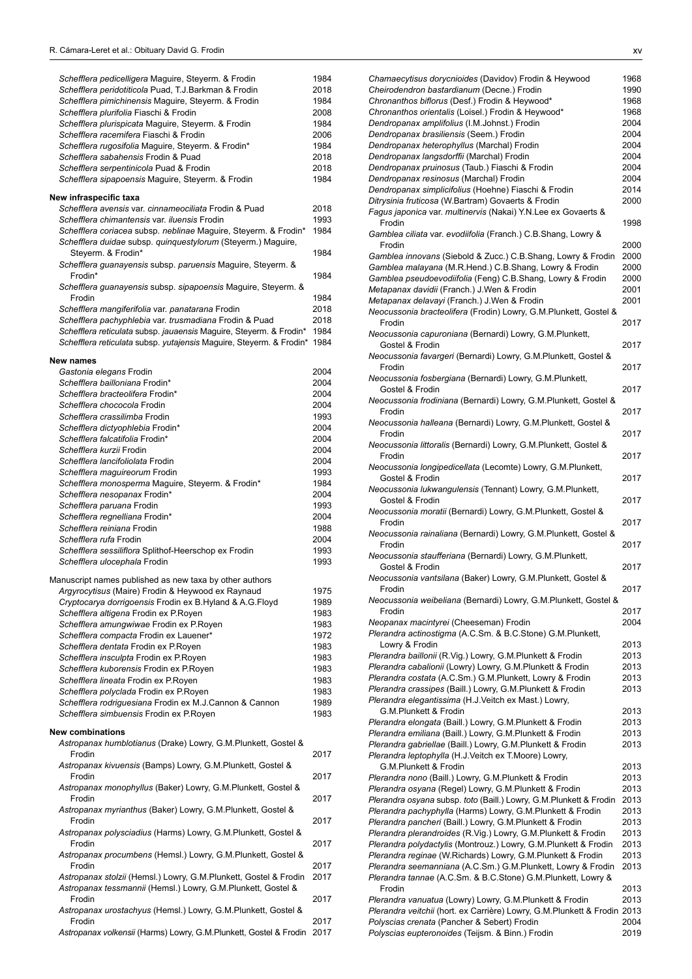| Schefflera pedicelligera Maguire, Steyerm. & Frodin                 | 1984         |
|---------------------------------------------------------------------|--------------|
| Schefflera peridotiticola Puad, T.J.Barkman & Frodin                | 2018         |
| Schefflera pimichinensis Maguire, Steyerm. & Frodin                 | 1984         |
| Schefflera plurifolia Fiaschi & Frodin                              | 2008         |
| Schefflera plurispicata Maguire, Steyerm. & Frodin                  | 1984         |
| Schefflera racemifera Fiaschi & Frodin                              | 2006         |
|                                                                     |              |
| Schefflera rugosifolia Maguire, Steyerm. & Frodin*                  | 1984         |
| Schefflera sabahensis Frodin & Puad                                 | 2018         |
| Schefflera serpentinicola Puad & Frodin                             | 2018         |
| Schefflera sipapoensis Maguire, Steyerm. & Frodin                   | 1984         |
|                                                                     |              |
| New infraspecific taxa                                              |              |
| Schefflera avensis var. cinnameociliata Frodin & Puad               | 2018         |
| Schefflera chimantensis var. iluensis Frodin                        | 1993         |
| Schefflera coriacea subsp. neblinae Maguire, Steyerm. & Frodin*     | 1984         |
| Schefflera duidae subsp. quinquestylorum (Steyerm.) Maguire,        |              |
| Steyerm. & Frodin*                                                  | 1984         |
| Schefflera guanayensis subsp. paruensis Maguire, Steyerm. &         |              |
| Frodin*                                                             | 1984         |
|                                                                     |              |
| Schefflera guanayensis subsp. sipapoensis Maguire, Steyerm. &       |              |
| Frodin                                                              | 1984         |
| Schefflera mangiferifolia var. panatarana Frodin                    | 2018         |
| Schefflera pachyphlebia var. trusmadiana Frodin & Puad              | 2018         |
| Schefflera reticulata subsp. jauaensis Maguire, Steyerm. & Frodin*  | 1984         |
| Schefflera reticulata subsp. yutajensis Maquire, Steyerm. & Frodin* | 1984         |
|                                                                     |              |
| New names                                                           |              |
| Gastonia elegans Frodin                                             | 2004         |
| Schefflera bailloniana Frodin*                                      | 2004         |
| Schefflera bracteolifera Frodin*                                    | 2004         |
| Schefflera chococola Frodin                                         | 2004         |
|                                                                     |              |
| Schefflera crassilimba Frodin                                       | 1993         |
| Schefflera dictyophlebia Frodin*                                    | 2004         |
| Schefflera falcatifolia Frodin*                                     | 2004         |
| Schefflera kurzii Frodin                                            | 2004         |
| Schefflera lancifoliolata Frodin                                    | 2004         |
| Schefflera maguireorum Frodin                                       | 1993         |
| Schefflera monosperma Maguire, Steyerm. & Frodin*                   | 1984         |
|                                                                     |              |
| Schefflera nesopanax Frodin*                                        | 2004         |
| Schefflera paruana Frodin                                           | 1993         |
| Schefflera regnelliana Frodin*                                      | 2004         |
| Schefflera reiniana Frodin                                          | 1988         |
| Schefflera rufa Frodin                                              | 2004         |
| Schefflera sessiliflora Splithof-Heerschop ex Frodin                | 1993         |
| Schefflera ulocephala Frodin                                        | 1993         |
|                                                                     |              |
| Manuscript names published as new taxa by other authors             |              |
| Argyrocytisus (Maire) Frodin & Heywood ex Raynaud                   | 1975         |
| Cryptocarya dorrigoensis Frodin ex B.Hyland & A.G.Floyd             | 1989         |
| Schefflera altigena Frodin ex P.Royen                               | 1983         |
| Schefflera amungwiwae Frodin ex P.Royen                             | 1983         |
|                                                                     |              |
| Schefflera compacta Frodin ex Lauener*                              | 1972         |
| Schefflera dentata Frodin ex P.Royen                                | 1983         |
| Schefflera insculpta Frodin ex P.Royen                              | 1983         |
| Schefflera kuborensis Frodin ex P.Royen                             | 1983         |
| Schefflera lineata Frodin ex P.Royen                                | 1983         |
| Schefflera polyclada Frodin ex P.Royen                              | 1983         |
| Schefflera rodriguesiana Frodin ex M.J.Cannon & Cannon              | 1989         |
| Schefflera simbuensis Frodin ex P.Royen                             | 1983         |
|                                                                     |              |
| <b>New combinations</b>                                             |              |
| Astropanax humblotianus (Drake) Lowry, G.M.Plunkett, Gostel &       |              |
| Frodin                                                              | 2017         |
| Astropanax kivuensis (Bamps) Lowry, G.M.Plunkett, Gostel &          |              |
|                                                                     |              |
|                                                                     |              |
| Frodin                                                              | 2017         |
| Astropanax monophyllus (Baker) Lowry, G.M.Plunkett, Gostel &        |              |
| Frodin                                                              | 2017         |
|                                                                     |              |
| Astropanax myrianthus (Baker) Lowry, G.M.Plunkett, Gostel &         |              |
| Frodin                                                              | 2017         |
| Astropanax polysciadius (Harms) Lowry, G.M.Plunkett, Gostel &       |              |
| Frodin                                                              | 2017         |
| Astropanax procumbens (Hemsl.) Lowry, G.M.Plunkett, Gostel &        |              |
| Frodin                                                              | 2017         |
| Astropanax stolzii (Hemsl.) Lowry, G.M.Plunkett, Gostel & Frodin    | 2017         |
| Astropanax tessmannii (Hemsl.) Lowry, G.M.Plunkett, Gostel &        |              |
| Frodin                                                              | 2017         |
| Astropanax urostachyus (Hemsl.) Lowry, G.M.Plunkett, Gostel &       |              |
| Frodin                                                              |              |
| Astropanax volkensii (Harms) Lowry, G.M.Plunkett, Gostel & Frodin   | 2017<br>2017 |

| Chamaecytisus dorycnioides (Davidov) Frodin & Heywood                    | 1968 |
|--------------------------------------------------------------------------|------|
| Cheirodendron bastardianum (Decne.) Frodin                               | 1990 |
| Chronanthos biflorus (Desf.) Frodin & Heywood*                           | 1968 |
|                                                                          |      |
| Chronanthos orientalis (Loisel.) Frodin & Heywood*                       | 1968 |
| Dendropanax amplifolius (I.M.Johnst.) Frodin                             | 2004 |
| Dendropanax brasiliensis (Seem.) Frodin                                  | 2004 |
| Dendropanax heterophyllus (Marchal) Frodin                               | 2004 |
| Dendropanax langsdorffii (Marchal) Frodin                                | 2004 |
|                                                                          |      |
| Dendropanax pruinosus (Taub.) Fiaschi & Frodin                           | 2004 |
| Dendropanax resinosus (Marchal) Frodin                                   | 2004 |
| Dendropanax simplicifolius (Hoehne) Fiaschi & Frodin                     | 2014 |
| Ditrysinia fruticosa (W.Bartram) Govaerts & Frodin                       | 2000 |
| Fagus japonica var. multinervis (Nakai) Y.N.Lee ex Govaerts &            |      |
|                                                                          |      |
| Frodin                                                                   | 1998 |
| Gamblea ciliata var. evodiifolia (Franch.) C.B.Shang, Lowry &            |      |
| Frodin                                                                   | 2000 |
| Gamblea innovans (Siebold & Zucc.) C.B.Shang, Lowry & Frodin             | 2000 |
| Gamblea malayana (M.R.Hend.) C.B.Shang, Lowry & Frodin                   |      |
|                                                                          | 2000 |
| Gamblea pseudoevodiifolia (Feng) C.B.Shang, Lowry & Frodin               | 2000 |
| Metapanax davidii (Franch.) J.Wen & Frodin                               | 2001 |
| Metapanax delavayi (Franch.) J.Wen & Frodin                              | 2001 |
| Neocussonia bracteolifera (Frodin) Lowry, G.M.Plunkett, Gostel &         |      |
|                                                                          |      |
| Frodin                                                                   | 2017 |
| Neocussonia capuroniana (Bernardi) Lowry, G.M.Plunkett,                  |      |
| Gostel & Frodin                                                          | 2017 |
| Neocussonia favargeri (Bernardi) Lowry, G.M.Plunkett, Gostel &           |      |
|                                                                          |      |
| Frodin                                                                   | 2017 |
| Neocussonia fosbergiana (Bernardi) Lowry, G.M.Plunkett,                  |      |
| Gostel & Frodin                                                          | 2017 |
| Neocussonia frodiniana (Bernardi) Lowry, G.M.Plunkett, Gostel &          |      |
| Frodin                                                                   | 2017 |
|                                                                          |      |
| Neocussonia halleana (Bernardi) Lowry, G.M.Plunkett, Gostel &            |      |
| Frodin                                                                   | 2017 |
| Neocussonia littoralis (Bernardi) Lowry, G.M.Plunkett, Gostel &          |      |
| Frodin                                                                   | 2017 |
|                                                                          |      |
| Neocussonia longipedicellata (Lecomte) Lowry, G.M.Plunkett,              |      |
| Gostel & Frodin                                                          | 2017 |
| Neocussonia lukwangulensis (Tennant) Lowry, G.M.Plunkett,                |      |
| Gostel & Frodin                                                          | 2017 |
| Neocussonia moratii (Bernardi) Lowry, G.M.Plunkett, Gostel &             |      |
| Frodin                                                                   | 2017 |
|                                                                          |      |
| Neocussonia rainaliana (Bernardi) Lowry, G.M.Plunkett, Gostel &          |      |
| Frodin                                                                   | 2017 |
| Neocussonia staufferiana (Bernardi) Lowry, G.M.Plunkett,                 |      |
| Gostel & Frodin                                                          | 2017 |
| Neocussonia vantsilana (Baker) Lowry, G.M.Plunkett, Gostel &             |      |
|                                                                          |      |
| Frodin                                                                   | 2017 |
| Neocussonia weibeliana (Bernardi) Lowry, G.M.Plunkett, Gostel &          |      |
| Frodin                                                                   | 2017 |
| Neopanax macintyrei (Cheeseman) Frodin                                   | 2004 |
|                                                                          |      |
| Plerandra actinostigma (A.C.Sm. & B.C.Stone) G.M.Plunkett,               |      |
| Lowry & Frodin                                                           | 2013 |
| Plerandra baillonii (R.Vig.) Lowry, G.M.Plunkett & Frodin                | 2013 |
| Plerandra cabalionii (Lowry) Lowry, G.M.Plunkett & Frodin                | 2013 |
| Plerandra costata (A.C.Sm.) G.M.Plunkett, Lowry & Frodin                 | 2013 |
|                                                                          |      |
| Plerandra crassipes (Baill.) Lowry, G.M.Plunkett & Frodin                |      |
| Plerandra elegantissima (H.J.Veitch ex Mast.) Lowry,                     | 2013 |
|                                                                          |      |
| G.M.Plunkett & Frodin                                                    | 2013 |
|                                                                          |      |
| Plerandra elongata (Baill.) Lowry, G.M.Plunkett & Frodin                 | 2013 |
| Plerandra emiliana (Baill.) Lowry, G.M.Plunkett & Frodin                 | 2013 |
| Plerandra gabriellae (Baill.) Lowry, G.M.Plunkett & Frodin               | 2013 |
| Plerandra leptophylla (H.J.Veitch ex T.Moore) Lowry,                     |      |
| G.M.Plunkett & Frodin                                                    | 2013 |
|                                                                          | 2013 |
| Plerandra nono (Baill.) Lowry, G.M.Plunkett & Frodin                     |      |
| Plerandra osyana (Regel) Lowry, G.M.Plunkett & Frodin                    | 2013 |
| Plerandra osyana subsp. toto (Baill.) Lowry, G.M.Plunkett & Frodin       | 2013 |
| Plerandra pachyphylla (Harms) Lowry, G.M.Plunkett & Frodin               | 2013 |
| Plerandra pancheri (Baill.) Lowry, G.M.Plunkett & Frodin                 | 2013 |
|                                                                          |      |
| Plerandra plerandroides (R.Vig.) Lowry, G.M.Plunkett & Frodin            | 2013 |
| Plerandra polydactylis (Montrouz.) Lowry, G.M.Plunkett & Frodin          | 2013 |
| Plerandra reginae (W.Richards) Lowry, G.M.Plunkett & Frodin              | 2013 |
| Plerandra seemanniana (A.C.Sm.) G.M.Plunkett, Lowry & Frodin             | 2013 |
| Plerandra tannae (A.C.Sm. & B.C.Stone) G.M.Plunkett, Lowry &             |      |
|                                                                          |      |
| Frodin                                                                   | 2013 |
| Plerandra vanuatua (Lowry) Lowry, G.M.Plunkett & Frodin                  | 2013 |
| Plerandra veitchii (hort. ex Carrière) Lowry, G.M.Plunkett & Frodin 2013 |      |
| Polyscias crenata (Pancher & Sebert) Frodin                              | 2004 |
| Polyscias eupteronoides (Teijsm. & Binn.) Frodin                         | 2019 |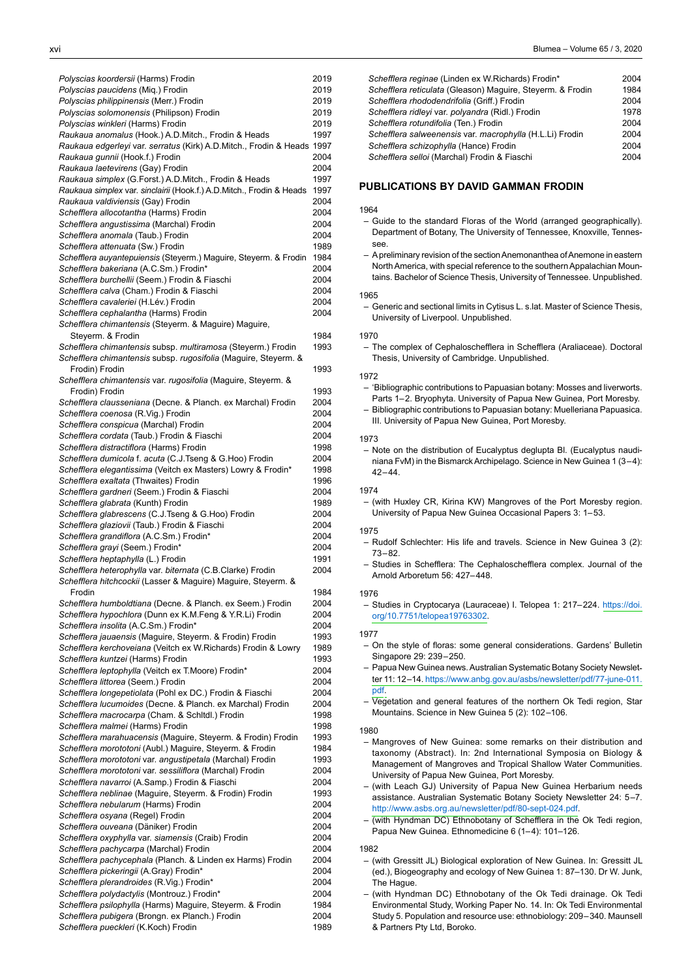| Polyscias koordersii (Harms) Frodin                                    | 2019 |
|------------------------------------------------------------------------|------|
| Polyscias paucidens (Mig.) Frodin                                      | 2019 |
| Polyscias philippinensis (Merr.) Frodin                                | 2019 |
| Polyscias solomonensis (Philipson) Frodin                              | 2019 |
|                                                                        |      |
| Polyscias winkleri (Harms) Frodin                                      | 2019 |
| Raukaua anomalus (Hook.) A.D.Mitch., Frodin & Heads                    | 1997 |
| Raukaua edgerleyi var. serratus (Kirk) A.D.Mitch., Frodin & Heads 1997 |      |
| Raukaua gunnii (Hook.f.) Frodin                                        | 2004 |
|                                                                        |      |
| Raukaua laetevirens (Gay) Frodin                                       | 2004 |
| Raukaua simplex (G.Forst.) A.D.Mitch., Frodin & Heads                  | 1997 |
| Raukaua simplex var. sinclairii (Hook.f.) A.D.Mitch., Frodin & Heads   | 1997 |
|                                                                        |      |
| Raukaua valdiviensis (Gay) Frodin                                      | 2004 |
| Schefflera allocotantha (Harms) Frodin                                 | 2004 |
| Schefflera angustissima (Marchal) Frodin                               | 2004 |
| Schefflera anomala (Taub.) Frodin                                      | 2004 |
|                                                                        |      |
| Schefflera attenuata (Sw.) Frodin                                      | 1989 |
| Schefflera auyantepuiensis (Steyerm.) Maguire, Steyerm. & Frodin       | 1984 |
| Schefflera bakeriana (A.C.Sm.) Frodin*                                 | 2004 |
|                                                                        |      |
| Schefflera burchellii (Seem.) Frodin & Fiaschi                         | 2004 |
| Schefflera calva (Cham.) Frodin & Fiaschi                              | 2004 |
| Schefflera cavaleriei (H.Lév.) Frodin                                  | 2004 |
| Schefflera cephalantha (Harms) Frodin                                  | 2004 |
|                                                                        |      |
| Schefflera chimantensis (Steyerm. & Maguire) Maguire,                  |      |
| Steyerm. & Frodin                                                      | 1984 |
| Schefflera chimantensis subsp. multiramosa (Steyerm.) Frodin           | 1993 |
|                                                                        |      |
| Schefflera chimantensis subsp. rugosifolia (Maguire, Steyerm. &        |      |
| Frodin) Frodin                                                         | 1993 |
| Schefflera chimantensis var. rugosifolia (Maguire, Steyerm. &          |      |
|                                                                        |      |
| Frodin) Frodin                                                         | 1993 |
| Schefflera clausseniana (Decne. & Planch. ex Marchal) Frodin           | 2004 |
| Schefflera coenosa (R.Vig.) Frodin                                     | 2004 |
| Schefflera conspicua (Marchal) Frodin                                  | 2004 |
|                                                                        |      |
| Schefflera cordata (Taub.) Frodin & Fiaschi                            | 2004 |
| Schefflera distractiflora (Harms) Frodin                               | 1998 |
| Schefflera dumicola f. acuta (C.J.Tseng & G.Hoo) Frodin                | 2004 |
|                                                                        |      |
| Schefflera elegantissima (Veitch ex Masters) Lowry & Frodin*           | 1998 |
| Schefflera exaltata (Thwaites) Frodin                                  | 1996 |
| Schefflera gardneri (Seem.) Frodin & Fiaschi                           | 2004 |
| Schefflera glabrata (Kunth) Frodin                                     | 1989 |
|                                                                        |      |
| Schefflera glabrescens (C.J.Tseng & G.Hoo) Frodin                      | 2004 |
| Schefflera glaziovii (Taub.) Frodin & Fiaschi                          | 2004 |
| Schefflera grandiflora (A.C.Sm.) Frodin*                               | 2004 |
|                                                                        |      |
| Schefflera grayi (Seem.) Frodin*                                       | 2004 |
| Schefflera heptaphylla (L.) Frodin                                     | 1991 |
| Schefflera heterophylla var. biternata (C.B.Clarke) Frodin             | 2004 |
|                                                                        |      |
| Schefflera hitchcockii (Lasser & Maguire) Maguire, Steyerm. &          |      |
| Frodin                                                                 | 1984 |
| Schefflera humboldtiana (Decne. & Planch. ex Seem.) Frodin             | 2004 |
| Schefflera hypochlora (Dunn ex K.M.Feng & Y.R.Li) Frodin               | 2004 |
|                                                                        |      |
| Schefflera insolita (A.C.Sm.) Frodin*                                  | 2004 |
| Schefflera jauaensis (Maquire, Steyerm. & Frodin) Frodin               | 1993 |
| Schefflera kerchoveiana (Veitch ex W.Richards) Frodin & Lowry          | 1989 |
|                                                                        |      |
| Schefflera kuntzei (Harms) Frodin                                      | 1993 |
| Schefflera leptophylla (Veitch ex T.Moore) Frodin*                     | 2004 |
| Schefflera littorea (Seem.) Frodin                                     | 2004 |
| Schefflera longepetiolata (Pohl ex DC.) Frodin & Fiaschi               | 2004 |
|                                                                        |      |
| Schefflera lucumoides (Decne. & Planch. ex Marchal) Frodin             | 2004 |
| Schefflera macrocarpa (Cham. & Schitdl.) Frodin                        | 1998 |
| Schefflera malmei (Harms) Frodin                                       | 1998 |
|                                                                        |      |
| Schefflera marahuacensis (Maguire, Steyerm. & Frodin) Frodin           | 1993 |
| Schefflera morototoni (Aubl.) Maguire, Steyerm. & Frodin               | 1984 |
| Schefflera morototoni var. angustipetala (Marchal) Frodin              | 1993 |
| Schefflera morototoni var. sessiliflora (Marchal) Frodin               | 2004 |
|                                                                        |      |
| Schefflera navarroi (A.Samp.) Frodin & Fiaschi                         | 2004 |
| Schefflera neblinae (Maguire, Steyerm. & Frodin) Frodin                | 1993 |
| Schefflera nebularum (Harms) Frodin                                    | 2004 |
|                                                                        |      |
| Schefflera osyana (Regel) Frodin                                       | 2004 |
| Schefflera ouveana (Däniker) Frodin                                    | 2004 |
| Schefflera oxyphylla var. siamensis (Craib) Frodin                     | 2004 |
|                                                                        |      |
| Schefflera pachycarpa (Marchal) Frodin                                 | 2004 |
| Schefflera pachycephala (Planch. & Linden ex Harms) Frodin             | 2004 |
| Schefflera pickeringii (A.Gray) Frodin*                                | 2004 |
|                                                                        |      |
| Schefflera plerandroides (R.Vig.) Frodin*                              | 2004 |
| Schefflera polydactylis (Montrouz.) Frodin*                            | 2004 |
| Schefflera psilophylla (Harms) Maguire, Steyerm. & Frodin              | 1984 |
| Schefflera pubigera (Brongn. ex Planch.) Frodin                        | 2004 |
|                                                                        |      |
| Schefflera pueckleri (K.Koch) Frodin                                   | 1989 |
|                                                                        |      |

| Schefflera reginae (Linden ex W.Richards) Frodin*          | 2004 |
|------------------------------------------------------------|------|
| Schefflera reticulata (Gleason) Maquire, Steyerm. & Frodin | 1984 |
| Schefflera rhododendrifolia (Griff.) Frodin                | 2004 |
| Schefflera ridleyi var. polyandra (Ridl.) Frodin           | 1978 |
| Schefflera rotundifolia (Ten.) Frodin                      | 2004 |
| Schefflera salweenensis var. macrophylla (H.L.Li) Frodin   | 2004 |
| Schefflera schizophylla (Hance) Frodin                     | 2004 |
| Schefflera selloi (Marchal) Frodin & Fiaschi               | 2004 |
|                                                            |      |

# **PUBLICATIONS BY DAVID GAMMAN FRODIN**

### 1964

- Guide to the standard Floras of the World (arranged geographically). Department of Botany, The University of Tennessee, Knoxville, Tennessee.
- A preliminary revision of the section Anemonanthea of Anemone in eastern North America, with special reference to the southern Appalachian Mountains. Bachelor of Science Thesis, University of Tennessee. Unpublished.

## 1965

- Generic and sectional limits in Cytisus L. s.lat. Master of Science Thesis, University of Liverpool. Unpublished.

#### 1970

- The complex of Cephaloschefflera in Schefflera (Araliaceae). Doctoral Thesis, University of Cambridge. Unpublished.

#### 1972

- 'Bibliographic contributions to Papuasian botany: Mosses and liverworts. Parts 1–2. Bryophyta. University of Papua New Guinea, Port Moresby. - Bibliographic contributions to Papuasian botany: Muelleriana Papuasica. III. University of Papua New Guinea, Port Moresby.

## 1973

– Note on the distribution of Eucalyptus deglupta Bl. (Eucalyptus naudiniana FvM) in the BismarckArchipelago. Science in New Guinea 1 (3–4): 42–44.

### 1974

- (with Huxley CR, Kirina KW) Mangroves of the Port Moresby region. University of Papua New Guinea Occasional Papers 3: 1–53.

## 1975

- Rudolf Schlechter: His life and travels. Science in New Guinea 3 (2): 73–82.
- Studies in Schefflera: The Cephaloschefflera complex. Journal of the Arnold Arboretum 56: 427–448.

## 1976

– Studies in Cryptocarya (Lauraceae) I. Telopea 1: 217–224. [https://doi.](https://doi.org/10.7751/telopea19763302) [org/10.7751/telopea19763302](https://doi.org/10.7751/telopea19763302).

## 1977

- On the style of floras: some general considerations. Gardens' Bulletin Singapore 29: 239–250.
- Papua New Guinea news. Australian Systematic Botany Society Newsletter 11: [12–14.](http://www.anbg.gov.au/asbs/newsletter/pdf/77-june-011.pdf"><Ahref="https://www.anbg.gov.au/asbs/newsletter/pdf/77-june-011.pdf">https://www.anbg.gov.au/asbs/newsletter/pdf/77-june-011) [https://www.anbg.gov.au/asbs/newsletter/pdf/77-june-011.](https://www.anbg.gov.au/asbs/newsletter/pdf/77-june-011.pdf) [pdf](https://www.anbg.gov.au/asbs/newsletter/pdf/77-june-011.pdf)[.](https://www.anbg.gov.au/asbs/newsletter/pdf/77-june-011.pdf)
- Vegetation and general features of the northern Ok Tedi region, Star Mountains. Science in New Guinea 5 (2): 102–106.

## 1980

- Mangroves of New Guinea: some remarks on their distribution and taxonomy (Abstract). In: 2nd International Symposia on Biology & Management of Mangroves and Tropical Shallow Water Communities. University of Papua New Guinea, Port Moresby.
- (with Leach GJ) University of Papua New Guinea Herbarium needs assistance. Australian Systematic Botany Society Newsletter 24: 5–7. <http://www.asbs.org.au/newsletter/pdf/80-sept-024.pdf>.
- (with Hyndman DC) Ethnobotany of Schefflera in the Ok Tedi region, Papua New Guinea. Ethnomedicine 6 (1–4): 101–126.

## 1982

- (with Gressitt JL) Biological exploration of New Guinea. In: Gressitt JL (ed.), Biogeography and ecology of New Guinea 1: 87–130. Dr W. Junk, The Hague.
- – (with Hyndman DC) Ethnobotany of the Ok Tedi drainage. Ok Tedi Environmental Study, Working Paper No. 14. In: Ok Tedi Environmental Study 5. Population and resource use: ethnobiology: 209–340. Maunsell & Partners Pty Ltd, Boroko.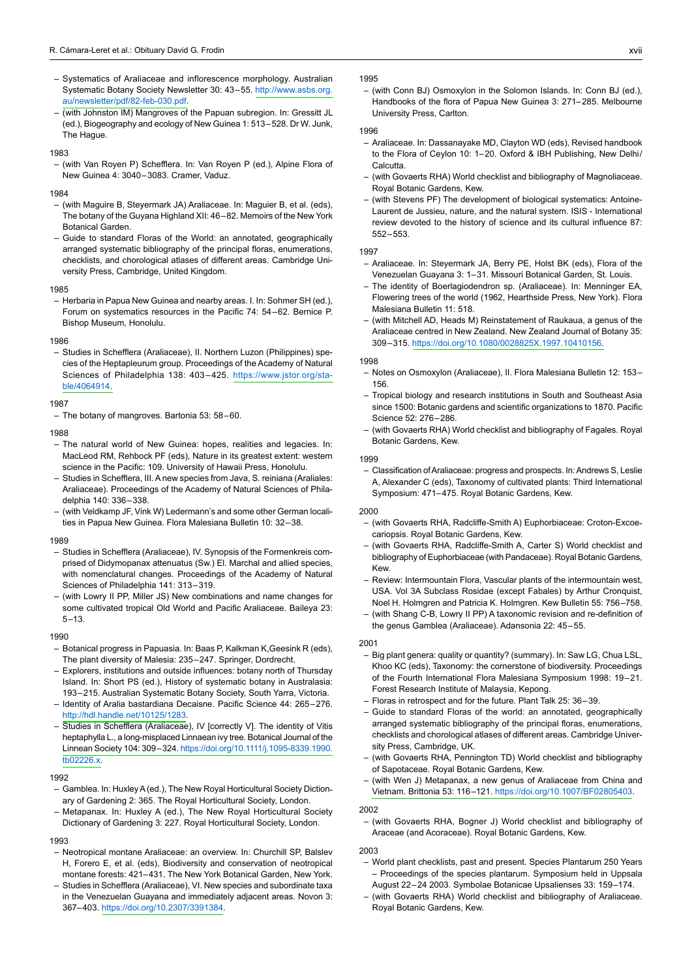- Systematics of Araliaceae and inflorescence morphology. Australian Systematic Botany Society Newsletter 30: 43–55. [http://www.asbs.org.](http://www.asbs.org.au/newsletter/pdf/82-feb-030.pdf) [au/newsletter/pdf/82-feb-030.pdf.](http://www.asbs.org.au/newsletter/pdf/82-feb-030.pdf)
- (with Johnston IM) Mangroves of the Papuan subregion. In: Gressitt JL (ed.), Biogeography and ecology of New Guinea 1: 513–528. Dr W. Junk, The Hague.

#### 1983

(with Van Royen P) Schefflera. In: Van Royen P (ed.), Alpine Flora of New Guinea 4: 3040–3083. Cramer, Vaduz.

#### 1984

- (with Maguire B, Steyermark JA) Araliaceae. In: Maguier B, et al. (eds), The botany of the Guyana Highland XII: 46–82. Memoirs of the New York Botanical Garden.
- Guide to standard Floras of the World: an annotated, geographically arranged systematic bibliography of the principal floras, enumerations, checklists, and chorological atlases of different areas. Cambridge University Press, Cambridge, United Kingdom.

#### 1985

- Herbaria in Papua New Guinea and nearby areas. I. In: Sohmer SH (ed.), Forum on systematics resources in the Pacific 74: 54–62. Bernice P. Bishop Museum, Honolulu.

#### 1986

– Studies in Schefflera (Araliaceae), II. Northern Luzon (Philippines) species of the Heptapleurum group. Proceedings of the Academy of Natural Sciences of Philadelphia 138: 403–425. [https://www.jstor.org/sta](https://www.jstor.org/stable/4064914)[ble/4064914.](https://www.jstor.org/stable/4064914)

## 1987

 $-$  The botany of mangroves. Bartonia 53: 58–60.

#### 1988

- The natural world of New Guinea: hopes, realities and legacies. In: MacLeod RM, Rehbock PF (eds), Nature in its greatest extent: western science in the Pacific: 109. University of Hawaii Press, Honolulu.
- Studies in Schefflera, III. A new species from Java, S. reiniana (Araliales: Araliaceae). Proceedings of the Academy of Natural Sciences of Philadelphia 140: 336–338.
- (with Veldkamp JF, Vink W) Ledermann's and some other German localities in Papua New Guinea. Flora Malesiana Bulletin 10: 32–38.

#### 1989

- Studies in Schefflera (Araliaceae), IV. Synopsis of the Formenkreis comprised of Didymopanax attenuatus (Sw.) El. Marchal and allied species, with nomenclatural changes. Proceedings of the Academy of Natural Sciences of Philadelphia 141: 313–319.
- (with Lowry II PP, Miller JS) New combinations and name changes for some cultivated tropical Old World and Pacific Araliaceae. Baileya 23: 5–13.

#### 1990

- Botanical progress in Papuasia. In: Baas P, Kalkman K,Geesink R (eds), The plant diversity of Malesia: 235–247. Springer, Dordrecht.
- Explorers, institutions and outside influences: botany north of Thursday Island. In: Short PS (ed.), History of systematic botany in Australasia: 193–215. Australian Systematic Botany Society, South Yarra, Victoria.
- Identity of Aralia bastardiana Decaisne. Pacific Science 44: 265-276. <http://hdl.handle.net/10125/1283>.
- Studies in Schefflera (Araliaceae), IV [correctly V]. The identity of Vitis heptaphylla L., a long-misplaced Linnaean ivy tree. Botanical Journal of the Linnean Society 104: [309–324.](https://doi.org/10.1111/j.1095-8339.1990.tb02226.x) [https://doi.org/10.1111/j.1095-8339.1990.](https://doi.org/10.1111/j.1095-8339.1990.tb02226.x) [tb02226.x.](https://doi.org/10.1111/j.1095-8339.1990.tb02226.x)

#### 1992

- Gamblea. In: Huxley A (ed.), The New Royal Horticultural Society Dictionary of Gardening 2: 365. The Royal Horticultural Society, London.
- Metapanax. In: Huxley A (ed.), The New Royal Horticultural Society Dictionary of Gardening 3: 227. Royal Horticultural Society, London.

#### 1993

- Neotropical montane Araliaceae: an overview. In: Churchill SP, Balslev H, Forero E, et al. (eds), Biodiversity and conservation of neotropical montane forests: 421–431. The New York Botanical Garden, New York.
- Studies in Schefflera (Araliaceae), VI. New species and subordinate taxa in the Venezuelan Guayana and immediately adjacent areas. Novon 3: 367–403. <https://doi.org/10.2307/3391384>.

#### 1995

(with Conn BJ) Osmoxylon in the Solomon Islands. In: Conn BJ (ed.), Handbooks of the flora of Papua New Guinea 3: 271–285. Melbourne University Press, Carlton.

#### 1996

- Araliaceae. In: Dassanayake MD, Clayton WD (eds), Revised handbook to the Flora of Ceylon 10: 1–20. Oxford & IBH Publishing, New Delhi/ Calcutta.
- (with Govaerts RHA) World checklist and bibliography of Magnoliaceae. Royal Botanic Gardens, Kew.
- (with Stevens PF) The development of biological systematics: Antoine-Laurent de Jussieu, nature, and the natural system. ISIS - International review devoted to the history of science and its cultural influence 87: 552–553.

#### 1997

- Araliaceae. In: Steyermark JA, Berry PE, Holst BK (eds), Flora of the Venezuelan Guayana 3: 1–31. Missouri Botanical Garden, St. Louis.
- The identity of Boerlagiodendron sp. (Araliaceae). In: Menninger EA, Flowering trees of the world (1962, Hearthside Press, New York). Flora Malesiana Bulletin 11: 518.
- (with Mitchell AD, Heads M) Reinstatement of Raukaua, a genus of the Araliaceae centred in New Zealand. New Zealand Journal of Botany 35: 309–315. [https://doi.org/10.1080/0028825X.1997.10410156.](https://doi.org/10.1080/0028825X.1997.10410156)

#### 1998

- Notes on Osmoxylon (Araliaceae), II. Flora Malesiana Bulletin 12: 153– 156.
- Tropical biology and research institutions in South and Southeast Asia since 1500: Botanic gardens and scientific organizations to 1870. Pacific Science 52: 276–286.
- (with Govaerts RHA) World checklist and bibliography of Fagales. Royal Botanic Gardens, Kew.

#### 1999

Classification of Araliaceae: progress and prospects. In: Andrews S, Leslie A, Alexander C (eds), Taxonomy of cultivated plants: Third International Symposium: 471–475. Royal Botanic Gardens, Kew.

## 2000

- (with Govaerts RHA, Radcliffe-Smith A) Euphorbiaceae: Croton-Excoecariopsis. Royal Botanic Gardens, Kew.
- (with Govaerts RHA, Radcliffe-Smith A, Carter S) World checklist and bibliography of Euphorbiaceae (with Pandaceae). Royal Botanic Gardens, Kew.
- Review: Intermountain Flora, Vascular plants of the intermountain west. USA. Vol 3A Subclass Rosidae (except Fabales) by Arthur Cronquist, Noel H. Holmgren and Patricia K. Holmgren. Kew Bulletin 55: 756–758.
- (with Shang C-B, Lowry II PP) A taxonomic revision and re-definition of the genus Gamblea (Araliaceae). Adansonia 22: 45–55.

## 2001

- Big plant genera: quality or quantity? (summary). In: Saw LG, Chua LSL, Khoo KC (eds), Taxonomy: the cornerstone of biodiversity. Proceedings of the Fourth International Flora Malesiana Symposium 1998: 19–21. Forest Research Institute of Malaysia, Kepong.
- Floras in retrospect and for the future. Plant Talk 25: 36-39.
- Guide to standard Floras of the world: an annotated, geographically arranged systematic bibliography of the principal floras, enumerations, checklists and chorological atlases of different areas. Cambridge University Press, Cambridge, UK.
- (with Govaerts RHA, Pennington TD) World checklist and bibliography of Sapotaceae. Royal Botanic Gardens, Kew.
- (with Wen J) Metapanax, a new genus of Araliaceae from China and Vietnam. Brittonia 53: [116–121.](https://doi.org/10.1007/BF02805403) <https://doi.org/10.1007/BF02805403>.

## 2002

– (with Govaerts RHA, Bogner J) World checklist and bibliography of Araceae (and Acoraceae). Royal Botanic Gardens, Kew.

#### 2003

- World plant checklists, past and present. Species Plantarum 250 Years – Proceedings of the species plantarum. Symposium held in Uppsala August 22–24 2003. Symbolae Botanicae Upsalienses 33: 159–174.
- (with Govaerts RHA) World checklist and bibliography of Araliaceae. Royal Botanic Gardens, Kew.